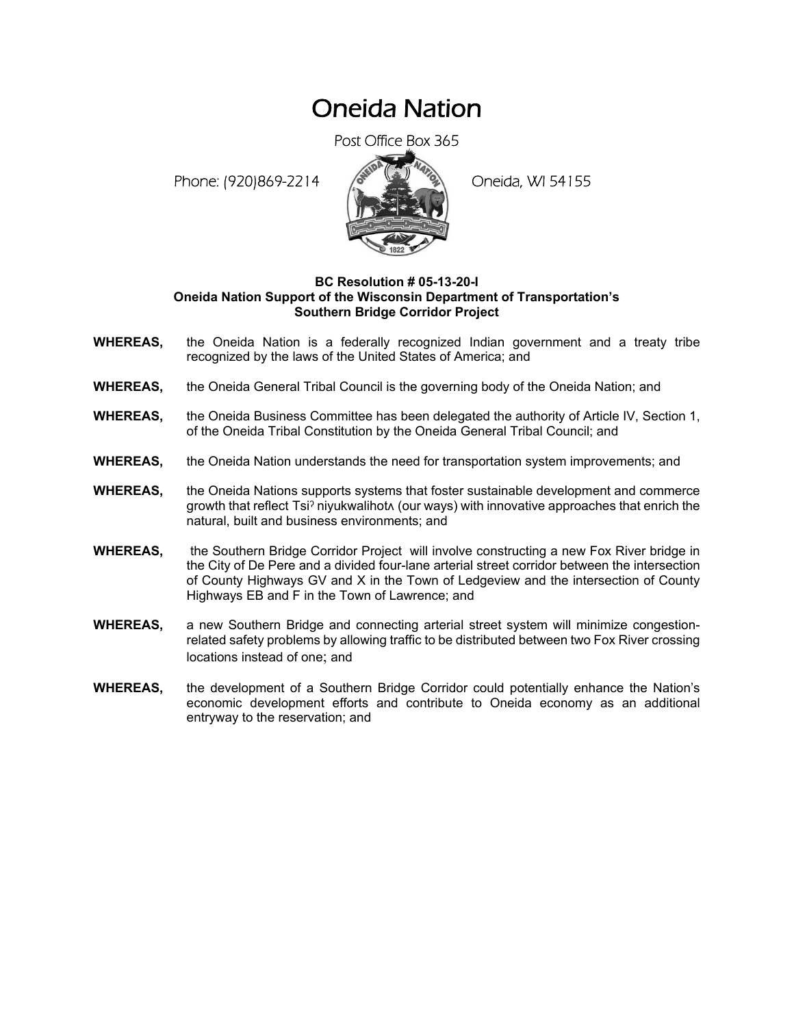## Oneida Nation

Post Office Box 365

Phone: (920)869-2214 (8 April 2) Oneida, WI 54155



## **BC Resolution # 05-13-20-I Oneida Nation Support of the Wisconsin Department of Transportation's Southern Bridge Corridor Project**

- **WHEREAS,** the Oneida Nation is a federally recognized Indian government and a treaty tribe recognized by the laws of the United States of America; and
- **WHEREAS,** the Oneida General Tribal Council is the governing body of the Oneida Nation; and
- **WHEREAS,** the Oneida Business Committee has been delegated the authority of Article IV, Section 1, of the Oneida Tribal Constitution by the Oneida General Tribal Council; and
- **WHEREAS,** the Oneida Nation understands the need for transportation system improvements; and
- **WHEREAS,** the Oneida Nations supports systems that foster sustainable development and commerce growth that reflect Tsi? niyukwalihot (our ways) with innovative approaches that enrich the natural, built and business environments; and
- **WHEREAS,** the Southern Bridge Corridor Project will involve constructing a new Fox River bridge in the City of De Pere and a divided four-lane arterial street corridor between the intersection of County Highways GV and X in the Town of Ledgeview and the intersection of County Highways EB and F in the Town of Lawrence; and
- **WHEREAS,** a new Southern Bridge and connecting arterial street system will minimize congestionrelated safety problems by allowing traffic to be distributed between two Fox River crossing locations instead of one; and
- **WHEREAS,** the development of a Southern Bridge Corridor could potentially enhance the Nation's economic development efforts and contribute to Oneida economy as an additional entryway to the reservation; and